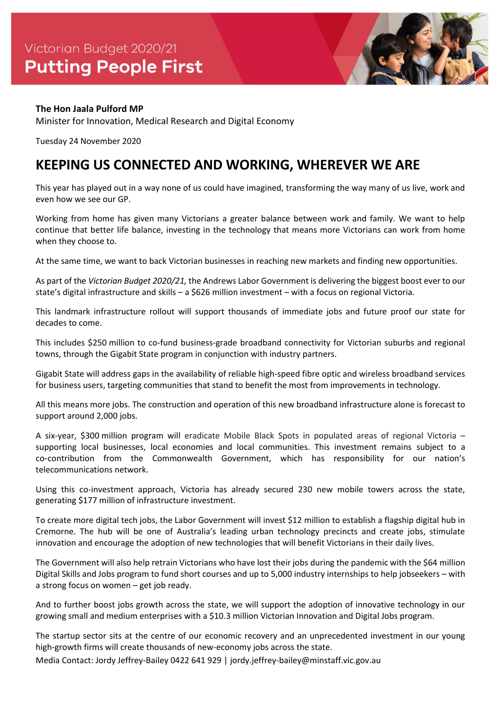

## **The Hon Jaala Pulford MP**

Minister for Innovation, Medical Research and Digital Economy

Tuesday 24 November 2020

## **KEEPING US CONNECTED AND WORKING, WHEREVER WE ARE**

This year has played out in a way none of us could have imagined, transforming the way many of us live, work and even how we see our GP.

Working from home has given many Victorians a greater balance between work and family. We want to help continue that better life balance, investing in the technology that means more Victorians can work from home when they choose to.

At the same time, we want to back Victorian businesses in reaching new markets and finding new opportunities.

As part of the *Victorian Budget 2020/21,* the Andrews Labor Government is delivering the biggest boost ever to our state's digital infrastructure and skills – a \$626 million investment – with a focus on regional Victoria.

This landmark infrastructure rollout will support thousands of immediate jobs and future proof our state for decades to come.

This includes \$250 million to co-fund business-grade broadband connectivity for Victorian suburbs and regional towns, through the Gigabit State program in conjunction with industry partners.

Gigabit State will address gaps in the availability of reliable high-speed fibre optic and wireless broadband services for business users, targeting communities that stand to benefit the most from improvements in technology.

All this means more jobs. The construction and operation of this new broadband infrastructure alone is forecast to support around 2,000 jobs.

A six-year, \$300 million program will eradicate Mobile Black Spots in populated areas of regional Victoria – supporting local businesses, local economies and local communities. This investment remains subject to a co-contribution from the Commonwealth Government, which has responsibility for our nation's telecommunications network.

Using this co-investment approach, Victoria has already secured 230 new mobile towers across the state, generating \$177 million of infrastructure investment.

To create more digital tech jobs, the Labor Government will invest \$12 million to establish a flagship digital hub in Cremorne. The hub will be one of Australia's leading urban technology precincts and create jobs, stimulate innovation and encourage the adoption of new technologies that will benefit Victorians in their daily lives.

The Government will also help retrain Victorians who have lost their jobs during the pandemic with the \$64 million Digital Skills and Jobs program to fund short courses and up to 5,000 industry internships to help jobseekers – with a strong focus on women – get job ready.

And to further boost jobs growth across the state, we will support the adoption of innovative technology in our growing small and medium enterprises with a \$10.3 million Victorian Innovation and Digital Jobs program.

The startup sector sits at the centre of our economic recovery and an unprecedented investment in our young high-growth firms will create thousands of new-economy jobs across the state.

Media Contact: Jordy Jeffrey-Bailey 0422 641 929 | jordy.jeffrey-bailey@minstaff.vic.gov.au